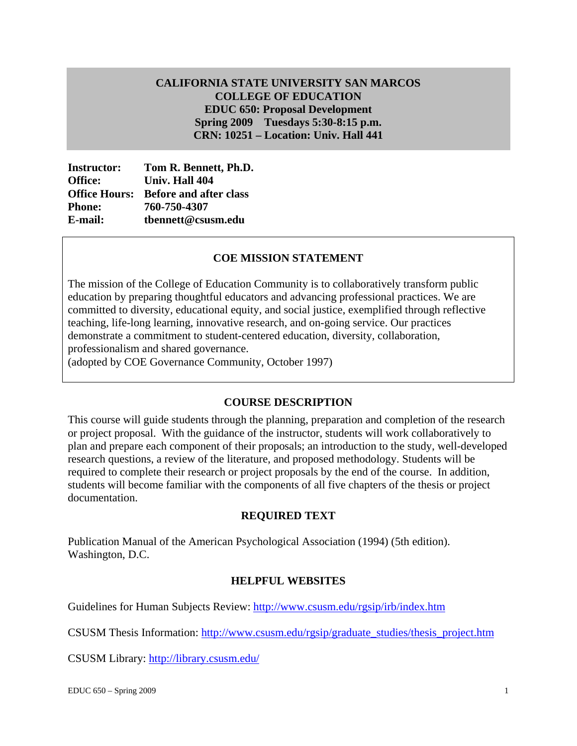# **Spring 2009 Tuesdays 5:30-8:15 p.m. CALIFORNIA STATE UNIVERSITY SAN MARCOS COLLEGE OF EDUCATION EDUC 650: Proposal Development CRN: 10251 – Location: Univ. Hall 441**

|                | <b>Instructor:</b> Tom R. Bennett, Ph.D.    |
|----------------|---------------------------------------------|
| <b>Office:</b> | Univ. Hall 404                              |
|                | <b>Office Hours:</b> Before and after class |
| <b>Phone:</b>  | 760-750-4307                                |
| E-mail:        | tbennett@csusm.edu                          |
|                | <b>COE MISSION STATEMENT</b>                |

The mission of the College of Education Community is to collaboratively transform public education by preparing thoughtful educators and advancing professional practices. We are committed to diversity, educational equity, and social justice, exemplified through reflective teaching, life-long learning, innovative research, and on-going service. Our practices demonstrate a commitment to student-centered education, diversity, collaboration, professionalism and shared governance.

(adopted by COE Governance Community, October 1997)

### **COURSE DESCRIPTION**

This course will guide students through the planning, preparation and completion of the research or project proposal. With the guidance of the instructor, students will work collaboratively to plan and prepare each component of their proposals; an introduction to the study, well-developed research questions, a review of the literature, and proposed methodology. Students will be required to complete their research or project proposals by the end of the course. In addition, students will become familiar with the components of all five chapters of the thesis or project documentation.

#### **REQUIRED TEXT**

Publication Manual of the American Psychological Association (1994) (5th edition). Washington, D.C.

#### **HELPFUL WEBSITES**

Guidelines for Human Subjects Review: http://www.csusm.edu/rgsip/irb/index.htm

CSUSM Thesis Information: http://www.csusm.edu/rgsip/graduate\_studies/thesis\_project.htm

CSUSM Library: <u>http://library.csusm.edu/</u><br>EDUC 650 – Spring 2009 1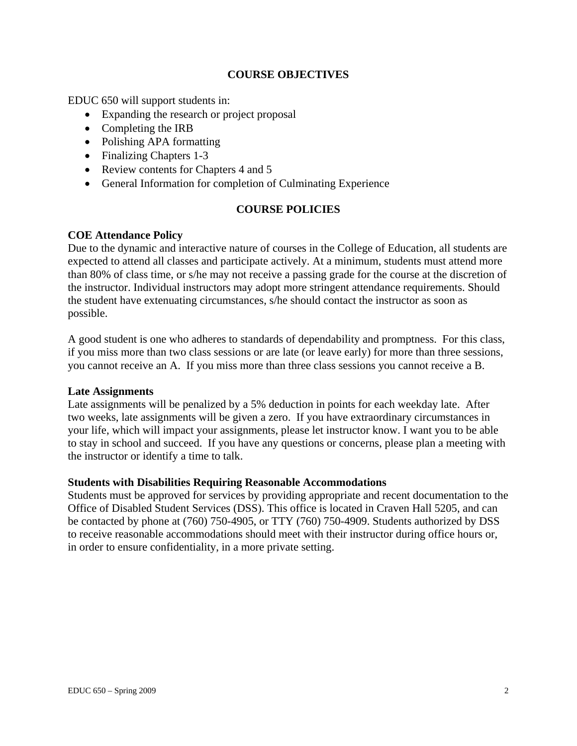### **COURSE OBJECTIVES**

EDUC 650 will support students in:

- Expanding the research or project proposal
- Completing the IRB
- Polishing APA formatting
- Finalizing Chapters 1-3
- Review contents for Chapters 4 and 5
- General Information for completion of Culminating Experience

# **COURSE POLICIES**

# **COE Attendance Policy**

Due to the dynamic and interactive nature of courses in the College of Education, all students are expected to attend all classes and participate actively. At a minimum, students must attend more than 80% of class time, or s/he may not receive a passing grade for the course at the discretion of the instructor. Individual instructors may adopt more stringent attendance requirements. Should the student have extenuating circumstances, s/he should contact the instructor as soon as possible.

A good student is one who adheres to standards of dependability and promptness. For this class, if you miss more than two class sessions or are late (or leave early) for more than three sessions, you cannot receive an A. If you miss more than three class sessions you cannot receive a B.

### **Late Assignments**

Late assignments will be penalized by a 5% deduction in points for each weekday late. After two weeks, late assignments will be given a zero. If you have extraordinary circumstances in your life, which will impact your assignments, please let instructor know. I want you to be able to stay in school and succeed. If you have any questions or concerns, please plan a meeting with the instructor or identify a time to talk.

### **Students with Disabilities Requiring Reasonable Accommodations**

Students must be approved for services by providing appropriate and recent documentation to the Office of Disabled Student Services (DSS). This office is located in Craven Hall 5205, and can be contacted by phone at (760) 750-4905, or TTY (760) 750-4909. Students authorized by DSS to receive reasonable accommodations should meet with their instructor during office hours or, in order to ensure confidentiality, in a more private setting.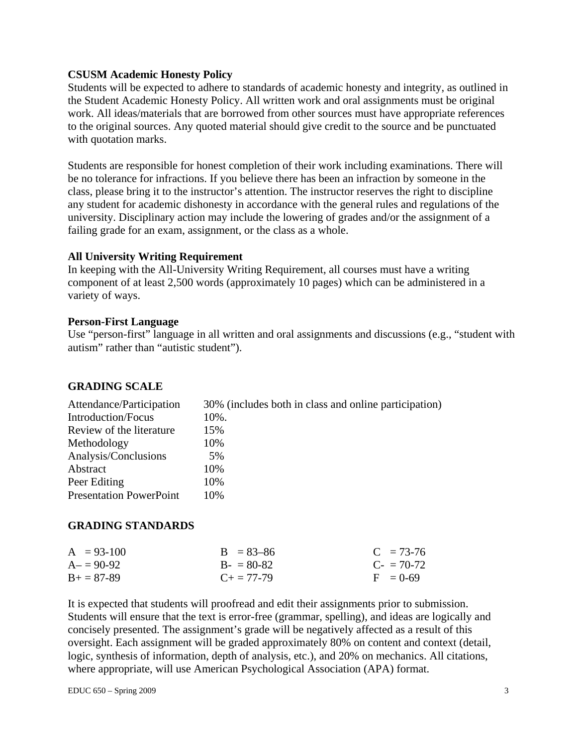#### **CSUSM Academic Honesty Policy**

Students will be expected to adhere to standards of academic honesty and integrity, as outlined in the Student Academic Honesty Policy. All written work and oral assignments must be original work. All ideas/materials that are borrowed from other sources must have appropriate references to the original sources. Any quoted material should give credit to the source and be punctuated with quotation marks.

Students are responsible for honest completion of their work including examinations. There will be no tolerance for infractions. If you believe there has been an infraction by someone in the class, please bring it to the instructor's attention. The instructor reserves the right to discipline any student for academic dishonesty in accordance with the general rules and regulations of the university. Disciplinary action may include the lowering of grades and/or the assignment of a failing grade for an exam, assignment, or the class as a whole.

#### **All University Writing Requirement**

In keeping with the All-University Writing Requirement, all courses must have a writing component of at least 2,500 words (approximately 10 pages) which can be administered in a variety of ways.

#### **Person-First Language**

Use "person-first" language in all written and oral assignments and discussions (e.g., "student with autism" rather than "autistic student").

### **GRADING SCALE**

| Attendance/Participation       | 30% (includes both in class and online participation) |
|--------------------------------|-------------------------------------------------------|
| Introduction/Focus             | 10%.                                                  |
| Review of the literature       | 15%                                                   |
| Methodology                    | 10%                                                   |
| Analysis/Conclusions           | 5%                                                    |
| Abstract                       | 10%                                                   |
| Peer Editing                   | 10%                                                   |
| <b>Presentation PowerPoint</b> | 10%                                                   |

### **GRADING STANDARDS**

| $A = 93-100$      | $B = 83 - 86$       | $C = 73-76$            |
|-------------------|---------------------|------------------------|
| $A = 90-92$       | $B - 80-82$         | $C_{\rm{f}} = 70 - 72$ |
| $B_{+} = 87 - 89$ | $C_{\pm} = 77 - 79$ | $F = 0.69$             |

It is expected that students will proofread and edit their assignments prior to submission. Students will ensure that the text is error-free (grammar, spelling), and ideas are logically and concisely presented. The assignment's grade will be negatively affected as a result of this oversight. Each assignment will be graded approximately 80% on content and context (detail, logic, synthesis of information, depth of analysis, etc.), and 20% on mechanics. All citations, where appropriate, will use American Psychological Association (APA) format.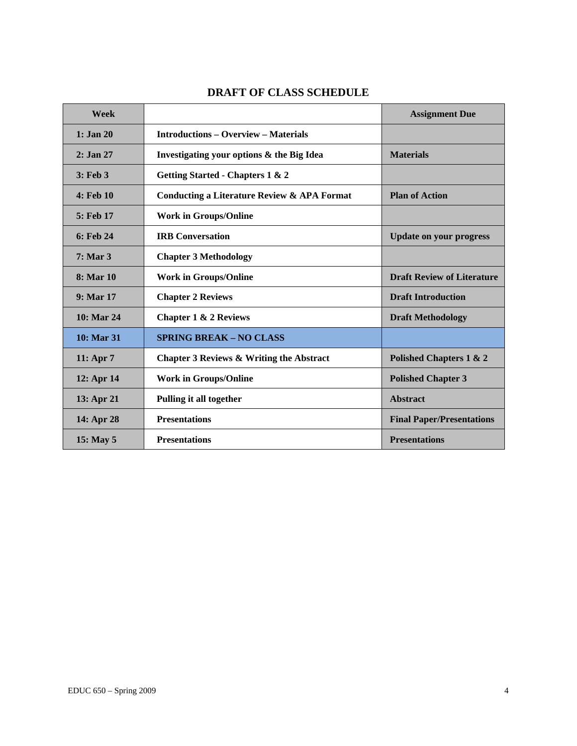| Week          |                                                        | <b>Assignment Due</b>             |
|---------------|--------------------------------------------------------|-----------------------------------|
| $1:$ Jan 20   | <b>Introductions – Overview – Materials</b>            |                                   |
| 2: Jan 27     | Investigating your options & the Big Idea              | <b>Materials</b>                  |
| $3:$ Feb $3$  | Getting Started - Chapters 1 & 2                       |                                   |
| $4:$ Feb $10$ | <b>Conducting a Literature Review &amp; APA Format</b> | <b>Plan of Action</b>             |
| 5: Feb 17     | <b>Work in Groups/Online</b>                           |                                   |
| $6:$ Feb 24   | <b>IRB</b> Conversation                                | <b>Update on your progress</b>    |
| $7:$ Mar $3$  | <b>Chapter 3 Methodology</b>                           |                                   |
| 8: Mar 10     | <b>Work in Groups/Online</b>                           | <b>Draft Review of Literature</b> |
| $9:$ Mar 17   | <b>Chapter 2 Reviews</b>                               | <b>Draft Introduction</b>         |
| 10: Mar 24    | <b>Chapter 1 &amp; 2 Reviews</b>                       | <b>Draft Methodology</b>          |
| 10: Mar 31    | <b>SPRING BREAK - NO CLASS</b>                         |                                   |
| 11: Apr $7$   | Chapter 3 Reviews & Writing the Abstract               | Polished Chapters 1 & 2           |
| 12: Apr 14    | <b>Work in Groups/Online</b>                           | <b>Polished Chapter 3</b>         |
| 13: Apr 21    | Pulling it all together                                | <b>Abstract</b>                   |
| 14: Apr 28    | <b>Presentations</b>                                   | <b>Final Paper/Presentations</b>  |
| 15: May 5     | <b>Presentations</b>                                   | <b>Presentations</b>              |

# **DRAFT OF CLASS SCHEDULE**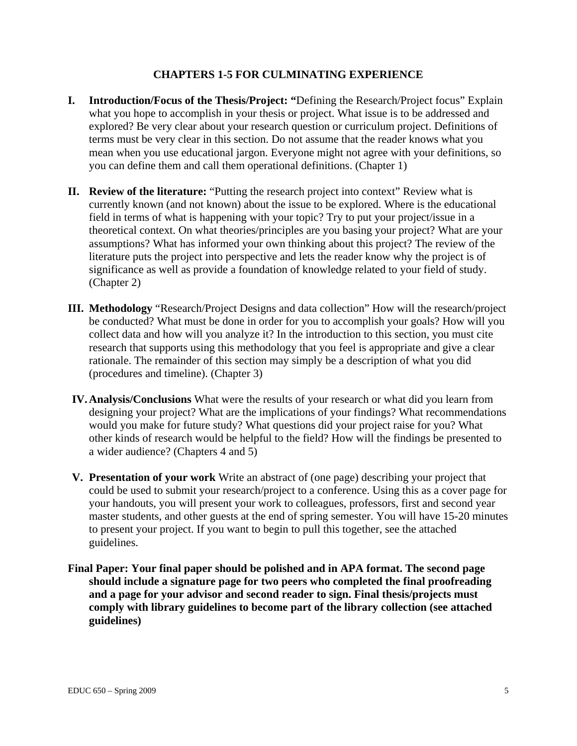### **CHAPTERS 1-5 FOR CULMINATING EXPERIENCE**

- **I. Introduction/Focus of the Thesis/Project: "**Defining the Research/Project focus" Explain what you hope to accomplish in your thesis or project. What issue is to be addressed and explored? Be very clear about your research question or curriculum project. Definitions of terms must be very clear in this section. Do not assume that the reader knows what you mean when you use educational jargon. Everyone might not agree with your definitions, so you can define them and call them operational definitions. (Chapter 1)
- **II.** Review of the literature: "Putting the research project into context" Review what is currently known (and not known) about the issue to be explored. Where is the educational field in terms of what is happening with your topic? Try to put your project/issue in a theoretical context. On what theories/principles are you basing your project? What are your assumptions? What has informed your own thinking about this project? The review of the literature puts the project into perspective and lets the reader know why the project is of significance as well as provide a foundation of knowledge related to your field of study. (Chapter 2)
- **III. Methodology** "Research/Project Designs and data collection" How will the research/project be conducted? What must be done in order for you to accomplish your goals? How will you collect data and how will you analyze it? In the introduction to this section, you must cite research that supports using this methodology that you feel is appropriate and give a clear rationale. The remainder of this section may simply be a description of what you did (procedures and timeline). (Chapter 3)
- **IV. Analysis/Conclusions** What were the results of your research or what did you learn from designing your project? What are the implications of your findings? What recommendations would you make for future study? What questions did your project raise for you? What other kinds of research would be helpful to the field? How will the findings be presented to a wider audience? (Chapters 4 and 5)
- **V. Presentation of your work** Write an abstract of (one page) describing your project that could be used to submit your research/project to a conference. Using this as a cover page for your handouts, you will present your work to colleagues, professors, first and second year master students, and other guests at the end of spring semester. You will have 15-20 minutes to present your project. If you want to begin to pull this together, see the attached guidelines.
- **Final Paper: Your final paper should be polished and in APA format. The second page should include a signature page for two peers who completed the final proofreading and a page for your advisor and second reader to sign. Final thesis/projects must comply with library guidelines to become part of the library collection (see attached guidelines)**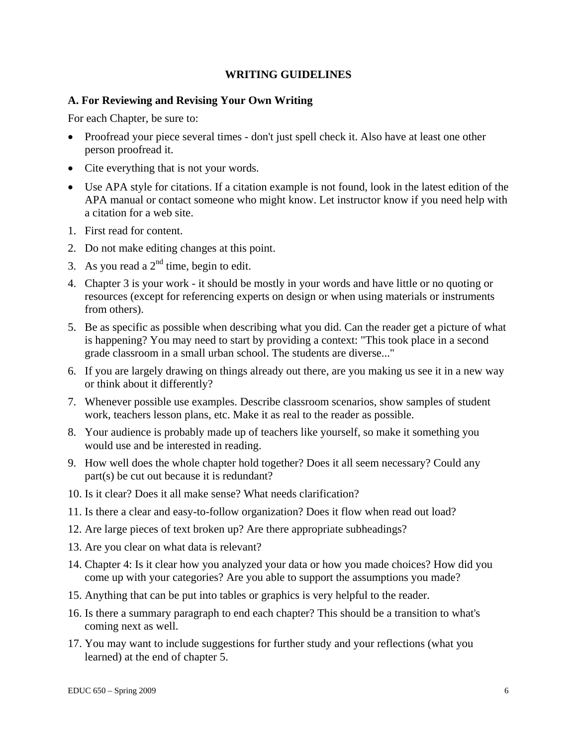### **WRITING GUIDELINES**

### **A. For Reviewing and Revising Your Own Writing**

For each Chapter, be sure to:

- Proofread your piece several times don't just spell check it. Also have at least one other person proofread it.
- Cite everything that is not your words.
- Use APA style for citations. If a citation example is not found, look in the latest edition of the APA manual or contact someone who might know. Let instructor know if you need help with a citation for a web site.
- 1. First read for content.
- 2. Do not make editing changes at this point.
- 3. As you read a  $2<sup>nd</sup>$  time, begin to edit.
- 4. Chapter 3 is your work it should be mostly in your words and have little or no quoting or resources (except for referencing experts on design or when using materials or instruments from others).
- 5. Be as specific as possible when describing what you did. Can the reader get a picture of what is happening? You may need to start by providing a context: "This took place in a second grade classroom in a small urban school. The students are diverse..."
- 6. If you are largely drawing on things already out there, are you making us see it in a new way or think about it differently?
- 7. Whenever possible use examples. Describe classroom scenarios, show samples of student work, teachers lesson plans, etc. Make it as real to the reader as possible.
- 8. Your audience is probably made up of teachers like yourself, so make it something you would use and be interested in reading.
- 9. How well does the whole chapter hold together? Does it all seem necessary? Could any part(s) be cut out because it is redundant?
- 10. Is it clear? Does it all make sense? What needs clarification?
- 11. Is there a clear and easy-to-follow organization? Does it flow when read out load?
- 12. Are large pieces of text broken up? Are there appropriate subheadings?
- 13. Are you clear on what data is relevant?
- come up with your categories? Are you able to support the assumptions you made? 15. Anything that can be put into tables or graphics is very helpful to the reader. 14. Chapter 4: Is it clear how you analyzed your data or how you made choices? How did you
- 
- 16. Is there a summary paragraph to end each chapter? This should be a transition to what's coming next as well.
- 17. You may want to include suggestions for further study and your reflections (what you learned) at the end of chapter 5.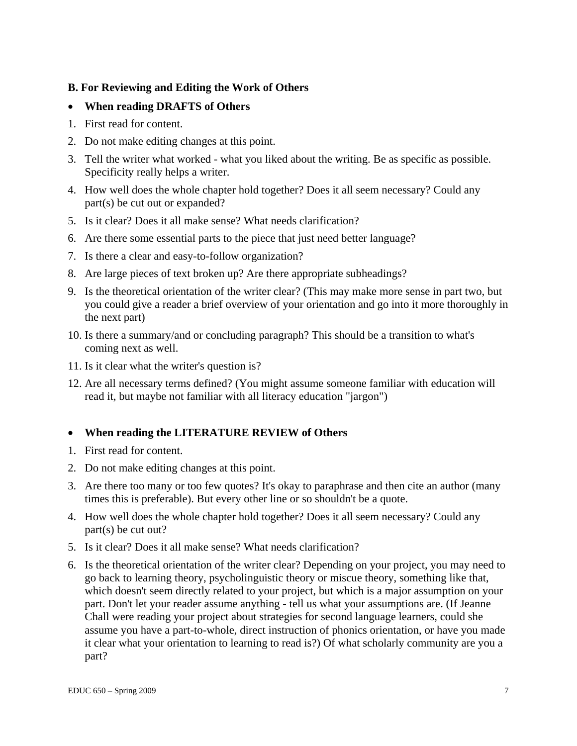# **B. For Reviewing and Editing the Work of Others**

# • **When reading DRAFTS of Others**

- 1. First read for content.
- 2. Do not make editing changes at this point.
- 3. Tell the writer what worked what you liked about the writing. Be as specific as possible. Specificity really helps a writer.
- 4. How well does the whole chapter hold together? Does it all seem necessary? Could any part(s) be cut out or expanded?
- 5. Is it clear? Does it all make sense? What needs clarification?
- 6. Are there some essential parts to the piece that just need better language?
- 7. Is there a clear and easy-to-follow organization?
- 8. Are large pieces of text broken up? Are there appropriate subheadings?
- 9. Is the theoretical orientation of the writer clear? (This may make more sense in part two, but you could give a reader a brief overview of your orientation and go into it more thoroughly in the next part)
- 10. Is there a summary/and or concluding paragraph? This should be a transition to what's coming next as well.
- 11. Is it clear what the writer's question is?
- 12. Are all necessary terms defined? (You might assume someone familiar with education will read it, but maybe not familiar with all literacy education "jargon")

# • **When reading the LITERATURE REVIEW of Others**

- 1. First read for content.
- 2. Do not make editing changes at this point.
- 3. Are there too many or too few quotes? It's okay to paraphrase and then cite an author (many times this is preferable). But every other line or so shouldn't be a quote.
- 4. How well does the whole chapter hold together? Does it all seem necessary? Could any part(s) be cut out?
- 5. Is it clear? Does it all make sense? What needs clarification?
- 6. Is the theoretical orientation of the writer clear? Depending on your project, you may need to go back to learning theory, psycholinguistic theory or miscue theory, something like that, which doesn't seem directly related to your project, but which is a major assumption on your part. Don't let your reader assume anything - tell us what your assumptions are. (If Jeanne Chall were reading your project about strategies for second language learners, could she assume you have a part-to-whole, direct instruction of phonics orientation, or have you made it clear what your orientation to learning to read is?) Of what scholarly community are you a part?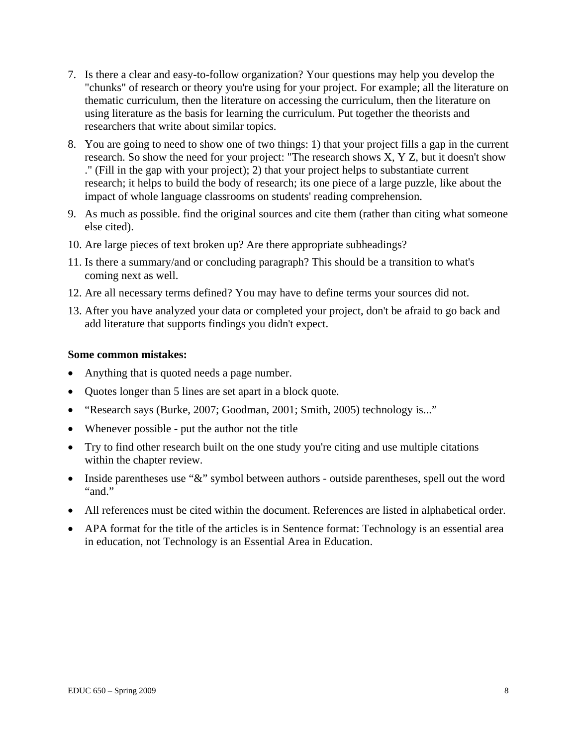- 7. Is there a clear and easy-to-follow organization? Your questions may help you develop the "chunks" of research or theory you're using for your project. For example; all the literature on thematic curriculum, then the literature on accessing the curriculum, then the literature on using literature as the basis for learning the curriculum. Put together the theorists and researchers that write about similar topics.
- 8. You are going to need to show one of two things: 1) that your project fills a gap in the current research. So show the need for your project: "The research shows X, Y Z, but it doesn't show ." (Fill in the gap with your project); 2) that your project helps to substantiate current research; it helps to build the body of research; its one piece of a large puzzle, like about the impact of whole language classrooms on students' reading comprehension.
- 9. As much as possible. find the original sources and cite them (rather than citing what someone else cited).
- 10. Are large pieces of text broken up? Are there appropriate subheadings?
- 11. Is there a summary/and or concluding paragraph? This should be a transition to what's coming next as well.
- 12. Are all necessary terms defined? You may have to define terms your sources did not.
- 13. After you have analyzed your data or completed your project, don't be afraid to go back and add literature that supports findings you didn't expect.

#### **Some common mistakes:**

- Anything that is quoted needs a page number.
- Quotes longer than 5 lines are set apart in a block quote.
- "Research says (Burke, 2007; Goodman, 2001; Smith, 2005) technology is..."
- Whenever possible put the author not the title
- Try to find other research built on the one study you're citing and use multiple citations within the chapter review.
- Inside parentheses use " $&$ " symbol between authors outside parentheses, spell out the word "and."
- All references must be cited within the document. References are listed in alphabetical order.
- APA format for the title of the articles is in Sentence format: Technology is an essential area in education, not Technology is an Essential Area in Education.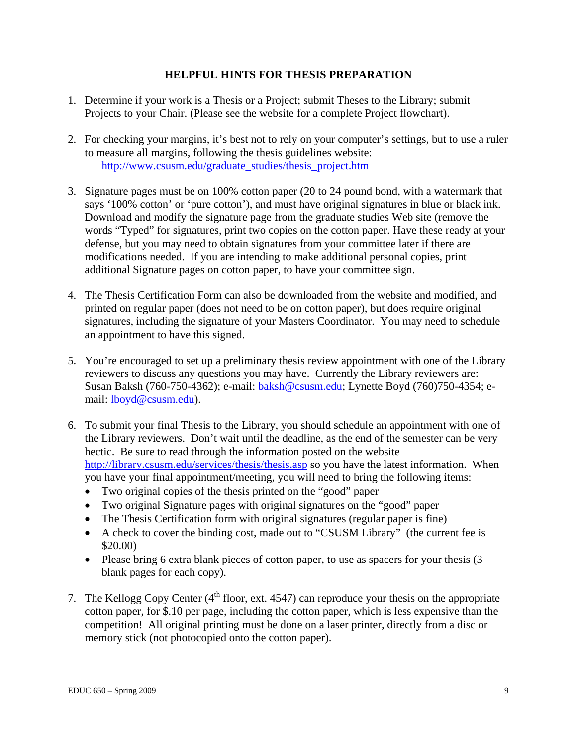# **HELPFUL HINTS FOR THESIS PREPARATION**

- 1. Determine if your work is a Thesis or a Project; submit Theses to the Library; submit Projects to your Chair. (Please see the website for a complete Project flowchart).
- 2. For checking your margins, it's best not to rely on your computer's settings, but to use a ruler to measure all margins, following the thesis guidelines website: http://www.csusm.edu/graduate\_studies/thesis\_project.htm
- 3. Signature pages must be on 100% cotton paper (20 to 24 pound bond, with a watermark that says '100% cotton' or 'pure cotton'), and must have original signatures in blue or black ink. Download and modify the signature page from the graduate studies Web site (remove the words "Typed" for signatures, print two copies on the cotton paper. Have these ready at your defense, but you may need to obtain signatures from your committee later if there are modifications needed. If you are intending to make additional personal copies, print additional Signature pages on cotton paper, to have your committee sign.
- 4. The Thesis Certification Form can also be downloaded from the website and modified, and printed on regular paper (does not need to be on cotton paper), but does require original signatures, including the signature of your Masters Coordinator. You may need to schedule an appointment to have this signed.
- 5. You're encouraged to set up a preliminary thesis review appointment with one of the Library reviewers to discuss any questions you may have. Currently the Library reviewers are: Susan Baksh (760-750-4362); e-mail: baksh@csusm.edu; Lynette Boyd (760)750-4354; email: lboyd@csusm.edu).
- 6. To submit your final Thesis to the Library, you should schedule an appointment with one of the Library reviewers. Don't wait until the deadline, as the end of the semester can be very hectic. Be sure to read through the information posted on the website http://library.csusm.edu/services/thesis/thesis.asp so you have the latest information. When you have your final appointment/meeting, you will need to bring the following items:
	- Two original copies of the thesis printed on the "good" paper
	- Two original Signature pages with original signatures on the "good" paper
	- The Thesis Certification form with original signatures (regular paper is fine)
	- A check to cover the binding cost, made out to "CSUSM Library" (the current fee is \$20.00)
	- Please bring 6 extra blank pieces of cotton paper, to use as spacers for your thesis (3) blank pages for each copy).
- 7. The Kellogg Copy Center  $(4<sup>th</sup>$  floor, ext. 4547) can reproduce your thesis on the appropriate cotton paper, for \$.10 per page, including the cotton paper, which is less expensive than the competition! All original printing must be done on a laser printer, directly from a disc or memory stick (not photocopied onto the cotton paper).